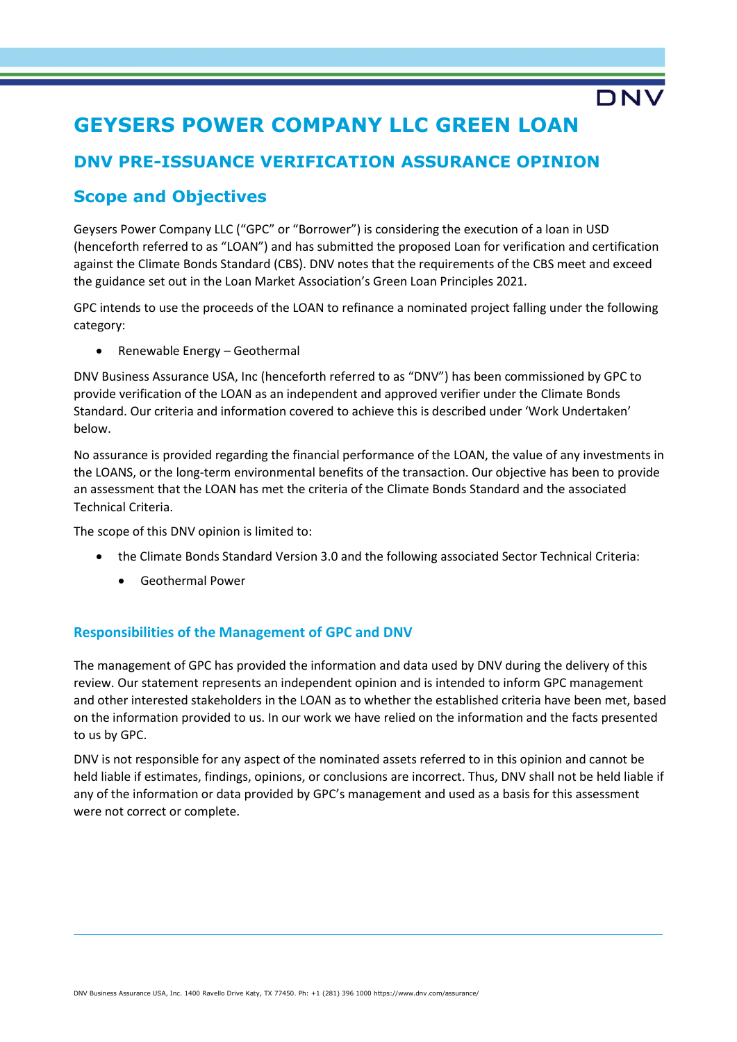# **GEYSERS POWER COMPANY LLC GREEN LOAN**

# **DNV PRE-ISSUANCE VERIFICATION ASSURANCE OPINION**

# **Scope and Objectives**

Geysers Power Company LLC ("GPC" or "Borrower") is considering the execution of a loan in USD (henceforth referred to as "LOAN") and has submitted the proposed Loan for verification and certification against the Climate Bonds Standard (CBS). DNV notes that the requirements of the CBS meet and exceed the guidance set out in the Loan Market Association's Green Loan Principles 2021.

**DN** 

GPC intends to use the proceeds of the LOAN to refinance a nominated project falling under the following category:

• Renewable Energy – Geothermal

DNV Business Assurance USA, Inc (henceforth referred to as "DNV") has been commissioned by GPC to provide verification of the LOAN as an independent and approved verifier under the Climate Bonds Standard. Our criteria and information covered to achieve this is described under 'Work Undertaken' below.

No assurance is provided regarding the financial performance of the LOAN, the value of any investments in the LOANS, or the long-term environmental benefits of the transaction. Our objective has been to provide an assessment that the LOAN has met the criteria of the Climate Bonds Standard and the associated Technical Criteria.

The scope of this DNV opinion is limited to:

- the Climate Bonds Standard Version 3.0 and the following associated Sector Technical Criteria:
	- Geothermal Power

## **Responsibilities of the Management of GPC and DNV**

The management of GPC has provided the information and data used by DNV during the delivery of this review. Our statement represents an independent opinion and is intended to inform GPC management and other interested stakeholders in the LOAN as to whether the established criteria have been met, based on the information provided to us. In our work we have relied on the information and the facts presented to us by GPC.

DNV is not responsible for any aspect of the nominated assets referred to in this opinion and cannot be held liable if estimates, findings, opinions, or conclusions are incorrect. Thus, DNV shall not be held liable if any of the information or data provided by GPC's management and used as a basis for this assessment were not correct or complete.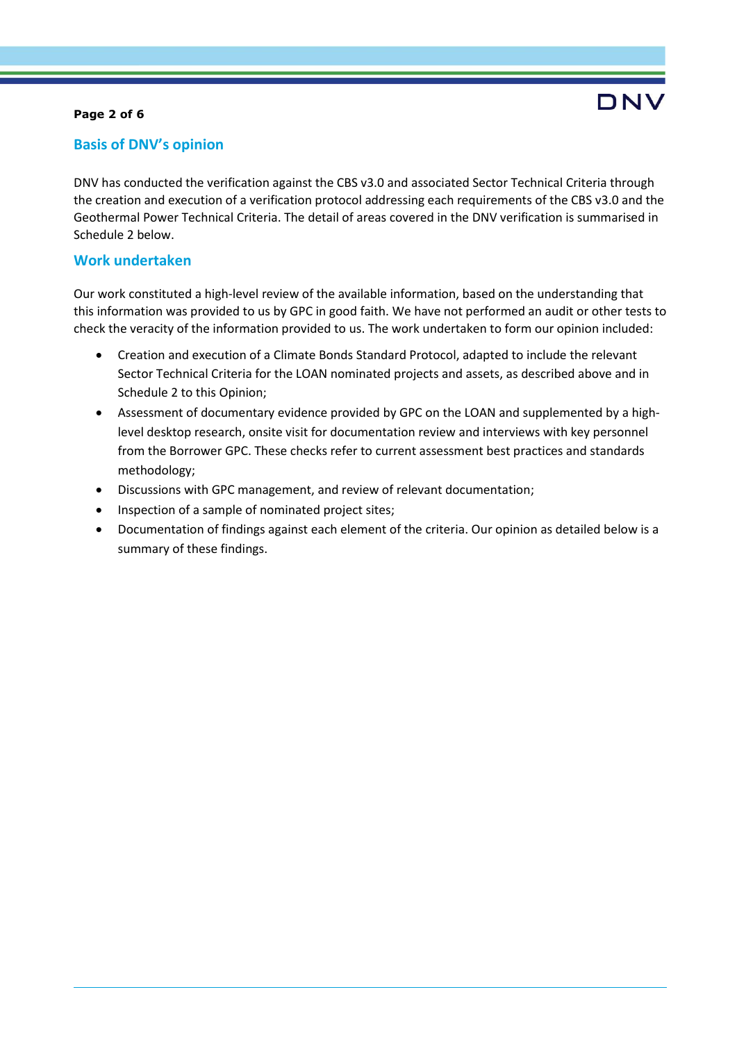### **Page 2 of 6**

## **Basis of DNV's opinion**

DNV has conducted the verification against the CBS v3.0 and associated Sector Technical Criteria through the creation and execution of a verification protocol addressing each requirements of the CBS v3.0 and the Geothermal Power Technical Criteria. The detail of areas covered in the DNV verification is summarised in Schedule 2 below.

## **Work undertaken**

Our work constituted a high-level review of the available information, based on the understanding that this information was provided to us by GPC in good faith. We have not performed an audit or other tests to check the veracity of the information provided to us. The work undertaken to form our opinion included:

- Creation and execution of a Climate Bonds Standard Protocol, adapted to include the relevant Sector Technical Criteria for the LOAN nominated projects and assets, as described above and in Schedule 2 to this Opinion;
- Assessment of documentary evidence provided by GPC on the LOAN and supplemented by a highlevel desktop research, onsite visit for documentation review and interviews with key personnel from the Borrower GPC. These checks refer to current assessment best practices and standards methodology;
- Discussions with GPC management, and review of relevant documentation;
- Inspection of a sample of nominated project sites;
- Documentation of findings against each element of the criteria. Our opinion as detailed below is a summary of these findings.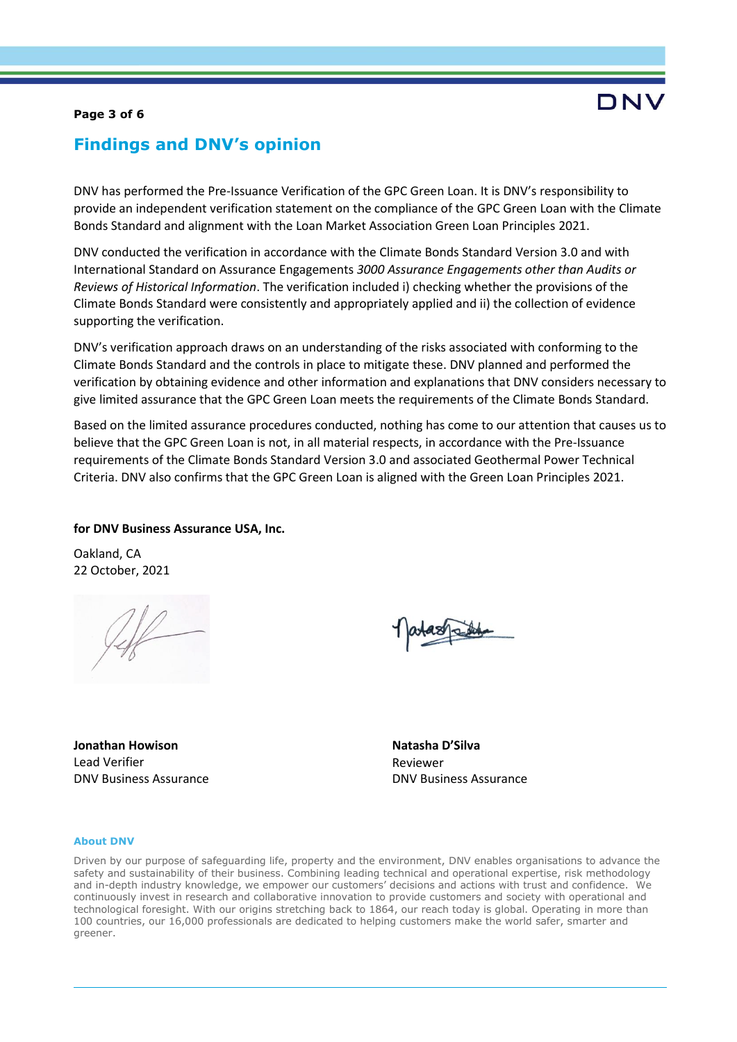### **Page 3 of 6**

# DNV

# **Findings and DNV's opinion**

DNV has performed the Pre-Issuance Verification of the GPC Green Loan. It is DNV's responsibility to provide an independent verification statement on the compliance of the GPC Green Loan with the Climate Bonds Standard and alignment with the Loan Market Association Green Loan Principles 2021.

DNV conducted the verification in accordance with the Climate Bonds Standard Version 3.0 and with International Standard on Assurance Engagements *3000 Assurance Engagements other than Audits or Reviews of Historical Information*. The verification included i) checking whether the provisions of the Climate Bonds Standard were consistently and appropriately applied and ii) the collection of evidence supporting the verification.

DNV's verification approach draws on an understanding of the risks associated with conforming to the Climate Bonds Standard and the controls in place to mitigate these. DNV planned and performed the verification by obtaining evidence and other information and explanations that DNV considers necessary to give limited assurance that the GPC Green Loan meets the requirements of the Climate Bonds Standard.

Based on the limited assurance procedures conducted, nothing has come to our attention that causes us to believe that the GPC Green Loan is not, in all material respects, in accordance with the Pre-Issuance requirements of the Climate Bonds Standard Version 3.0 and associated Geothermal Power Technical Criteria. DNV also confirms that the GPC Green Loan is aligned with the Green Loan Principles 2021.

### **for DNV Business Assurance USA, Inc.**

Oakland, CA 22 October, 2021

**Jonathan Howison** Lead Verifier DNV Business Assurance **Natasha D'Silva** Reviewer DNV Business Assurance

#### **About DNV**

Driven by our purpose of safeguarding life, property and the environment, DNV enables organisations to advance the safety and sustainability of their business. Combining leading technical and operational expertise, risk methodology and in-depth industry knowledge, we empower our customers' decisions and actions with trust and confidence. We continuously invest in research and collaborative innovation to provide customers and society with operational and technological foresight. With our origins stretching back to 1864, our reach today is global. Operating in more than 100 countries, our 16,000 professionals are dedicated to helping customers make the world safer, smarter and greener.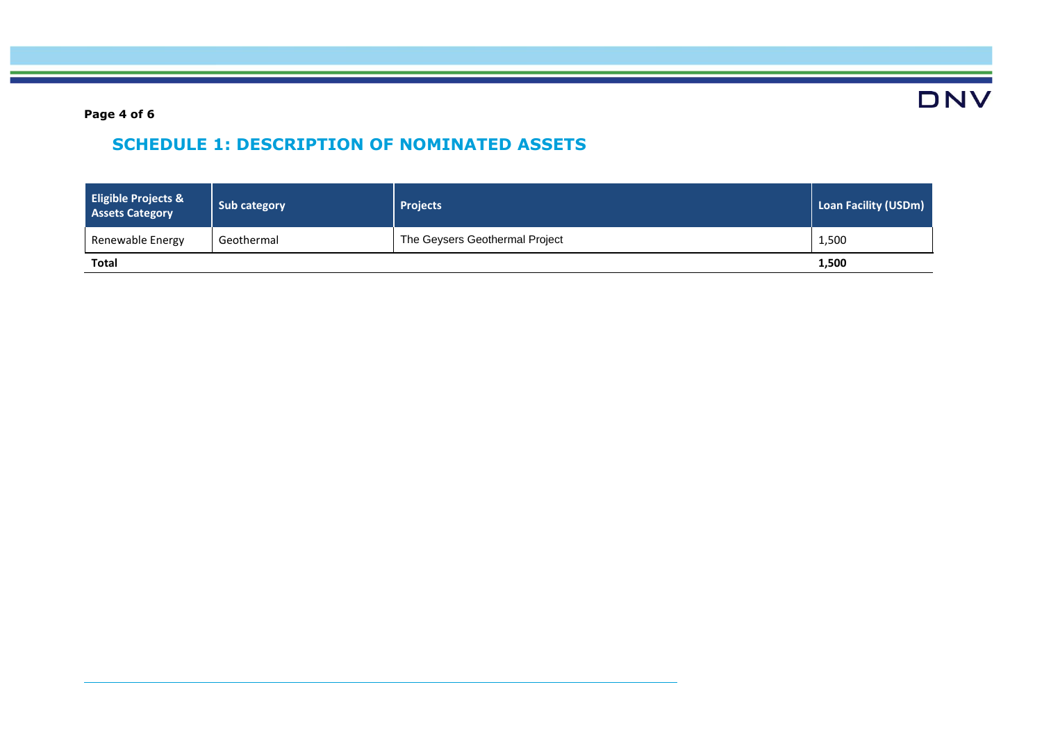**DNV** 

**Page 4 of 6**

# **SCHEDULE 1: DESCRIPTION OF NOMINATED ASSETS**

| <b>Eligible Projects &amp;</b><br><b>Assets Category</b> | Sub category | <b>Projects</b>                | Loan Facility (USDm) |
|----------------------------------------------------------|--------------|--------------------------------|----------------------|
| Renewable Energy                                         | Geothermal   | The Geysers Geothermal Project | 1,500                |
| Total                                                    |              |                                | 1,500                |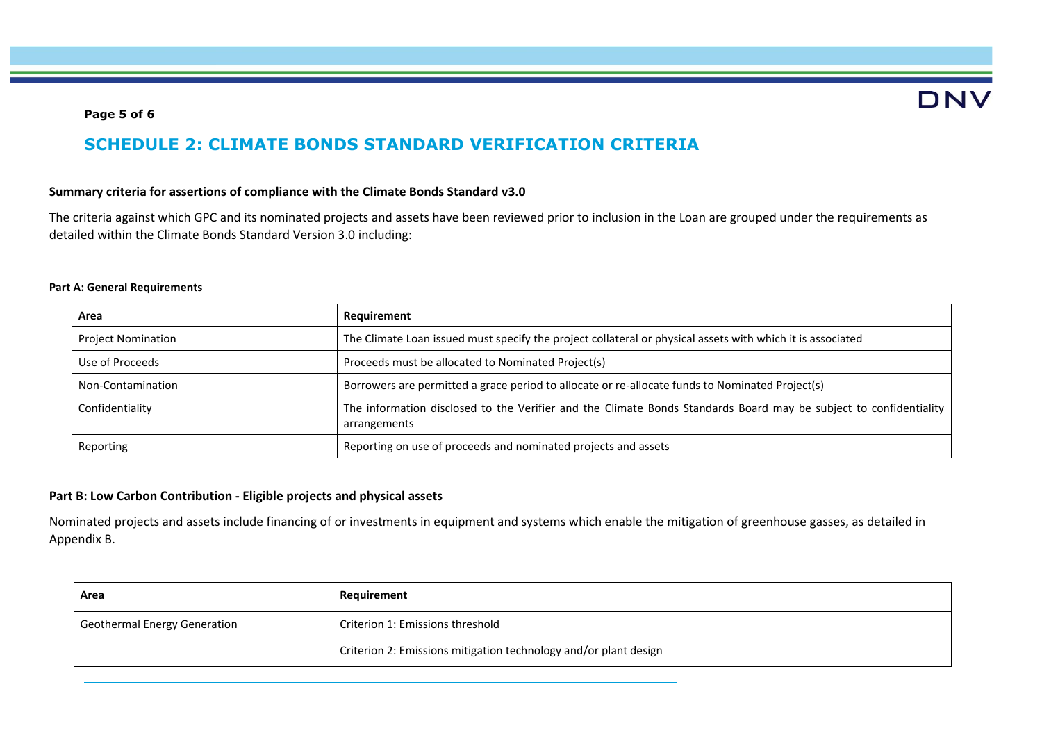# DNV

### **Page 5 of 6**

# **SCHEDULE 2: CLIMATE BONDS STANDARD VERIFICATION CRITERIA**

### **Summary criteria for assertions of compliance with the Climate Bonds Standard v3.0**

The criteria against which GPC and its nominated projects and assets have been reviewed prior to inclusion in the Loan are grouped under the requirements as detailed within the Climate Bonds Standard Version 3.0 including:

### **Part A: General Requirements**

| Area                      | Requirement                                                                                                                       |
|---------------------------|-----------------------------------------------------------------------------------------------------------------------------------|
| <b>Project Nomination</b> | The Climate Loan issued must specify the project collateral or physical assets with which it is associated                        |
| Use of Proceeds           | Proceeds must be allocated to Nominated Project(s)                                                                                |
| Non-Contamination         | Borrowers are permitted a grace period to allocate or re-allocate funds to Nominated Project(s)                                   |
| Confidentiality           | The information disclosed to the Verifier and the Climate Bonds Standards Board may be subject to confidentiality<br>arrangements |
| Reporting                 | Reporting on use of proceeds and nominated projects and assets                                                                    |

### **Part B: Low Carbon Contribution - Eligible projects and physical assets**

Nominated projects and assets include financing of or investments in equipment and systems which enable the mitigation of greenhouse gasses, as detailed in Appendix B.

| Area                                | Requirement                                                      |
|-------------------------------------|------------------------------------------------------------------|
| <b>Geothermal Energy Generation</b> | Criterion 1: Emissions threshold                                 |
|                                     | Criterion 2: Emissions mitigation technology and/or plant design |